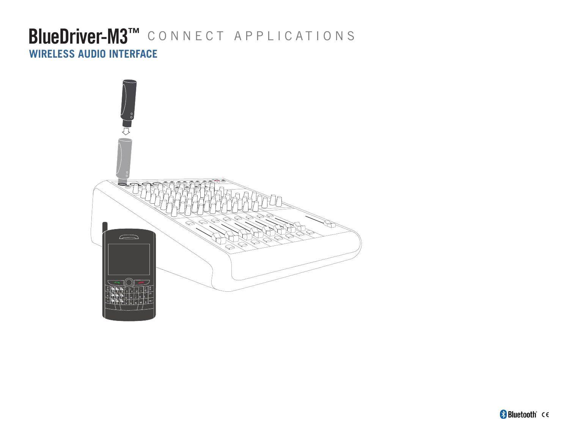## BlueDriver-M3<sup>TM</sup> CONNECT APPLICATIONS **WIRELESS AUDIO INTERFACE**

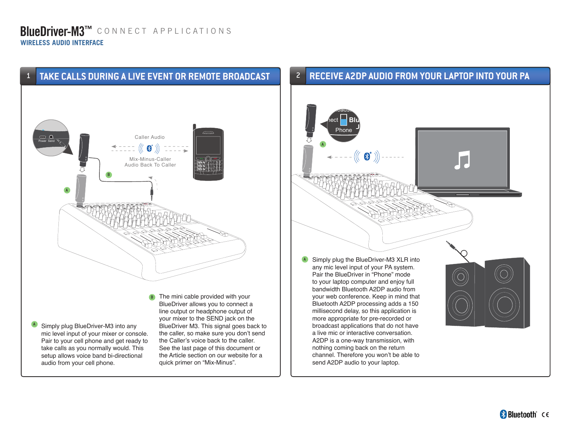### 1 **TAKE CALLS DURING A LIVE EVENT OR REMOTE BROADCAST**



A Simply plug BlueDriver-M3 into any mic level input of your mixer or console. Pair to your cell phone and get ready to take calls as you normally would. This setup allows voice band bi-directional audio from your cell phone.

your mixer to the SEND jack on the BlueDriver M3. This signal goes back to the caller, so make sure you don't send the Caller's voice back to the caller. See the last page of this document or the Article section on our website for a quick primer on "Mix-Minus".

#### **RECEIVE A2DP AUDIO FROM YOUR LAPTOP INTO YOUR PA** 2

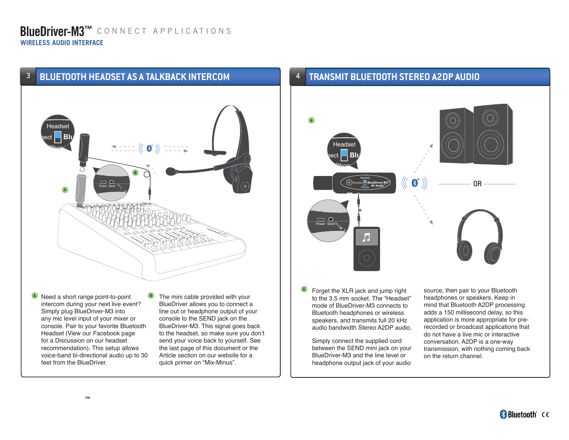### **BlueDriver-M3™** connect applications **WIRELESS AUDIO INTERFACE**



A Need a short range point-to-point intercom during your next live event? Simply plug BlueDriver-M3 into any mic level input of your mixer or console. Pair to your favorite Bluetooth Headset (View our Facebook page for a Discussion on our headset recommendation). This setup allows voice-band bi-directional audio up to 30 feet from the BlueDriver.

The mini cable provided with your BlueDriver allows you to connect a line out or headphone output of your console to the SEND jack on the BlueDriver-M3. This signal goes back to the headset, so make sure you don't send your voice back to yourself. See the last page of this document or the Article section on our website for a quick primer on "Mix-Minus".

#### 4 **TRANSMIT BLUETOOTH STEREO A2DP AUDIO**



Forget the XLR jack and jump right to the 3.5 mm socket. The "Headset" mode of BlueDriver-M3 connects to Bluetooth headphones or wireless speakers, and transmits full 20 kHz audio bandwidth Stereo A2DP audio. A

Simply connect the supplied cord between the SEND mini jack on your BlueDriver-M3 and the line level or headphone output jack of your audio

source, then pair to your Bluetooth headphones or speakers. Keep in mind that Bluetooth A2DP processing adds a 150 millisecond delay, so this application is more appropriate for prerecorded or broadcast applications that do not have a live mic or interactive conversation. A2DP is a one-way transmission, with nothing coming back on the return channel.